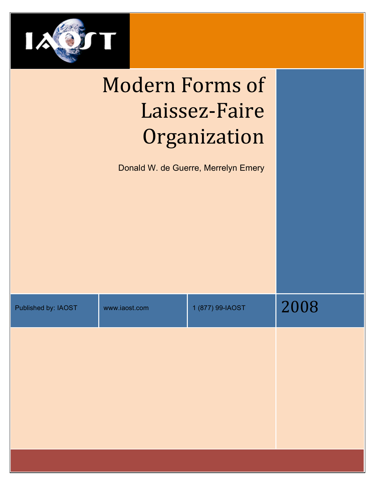

# Modern
Forms
of Laissez‐Faire Organization

Donald W. de Guerre, Merrelyn Emery

| Published by: IAOST | www.iaost.com | 1 (877) 99-IAOST | 2008 |
|---------------------|---------------|------------------|------|
|                     |               |                  |      |
|                     |               |                  |      |
|                     |               |                  |      |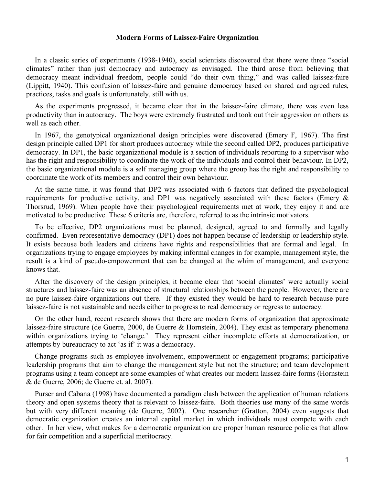#### **Modern Forms of Laissez-Faire Organization**

In a classic series of experiments (1938-1940), social scientists discovered that there were three "social climates" rather than just democracy and autocracy as envisaged. The third arose from believing that democracy meant individual freedom, people could "do their own thing," and was called laissez-faire (Lippitt, 1940). This confusion of laissez-faire and genuine democracy based on shared and agreed rules, practices, tasks and goals is unfortunately, still with us.

As the experiments progressed, it became clear that in the laissez-faire climate, there was even less productivity than in autocracy. The boys were extremely frustrated and took out their aggression on others as well as each other.

In 1967, the genotypical organizational design principles were discovered (Emery F, 1967). The first design principle called DP1 for short produces autocracy while the second called DP2, produces participative democracy. In DP1, the basic organizational module is a section of individuals reporting to a supervisor who has the right and responsibility to coordinate the work of the individuals and control their behaviour. In DP2, the basic organizational module is a self managing group where the group has the right and responsibility to coordinate the work of its members and control their own behaviour.

At the same time, it was found that DP2 was associated with 6 factors that defined the psychological requirements for productive activity, and DP1 was negatively associated with these factors (Emery & Thorsrud, 1969). When people have their psychological requirements met at work, they enjoy it and are motivated to be productive. These 6 criteria are, therefore, referred to as the intrinsic motivators.

To be effective, DP2 organizations must be planned, designed, agreed to and formally and legally confirmed. Even representative democracy (DP1) does not happen because of leadership or leadership style. It exists because both leaders and citizens have rights and responsibilities that are formal and legal. In organizations trying to engage employees by making informal changes in for example, management style, the result is a kind of pseudo-empowerment that can be changed at the whim of management, and everyone knows that.

After the discovery of the design principles, it became clear that 'social climates' were actually social structures and laissez-faire was an absence of structural relationships between the people. However, there are no pure laissez-faire organizations out there. If they existed they would be hard to research because pure laissez-faire is not sustainable and needs either to progress to real democracy or regress to autocracy.

On the other hand, recent research shows that there are modern forms of organization that approximate laissez-faire structure (de Guerre, 2000, de Guerre & Hornstein, 2004). They exist as temporary phenomena within organizations trying to 'change.' They represent either incomplete efforts at democratization, or attempts by bureaucracy to act 'as if' it was a democracy.

Change programs such as employee involvement, empowerment or engagement programs; participative leadership programs that aim to change the management style but not the structure; and team development programs using a team concept are some examples of what creates our modern laissez-faire forms (Hornstein & de Guerre, 2006; de Guerre et. al. 2007).

Purser and Cabana (1998) have documented a paradigm clash between the application of human relations theory and open systems theory that is relevant to laissez-faire. Both theories use many of the same words but with very different meaning (de Guerre, 2002). One researcher (Gratton, 2004) even suggests that democratic organization creates an internal capital market in which individuals must compete with each other. In her view, what makes for a democratic organization are proper human resource policies that allow for fair competition and a superficial meritocracy.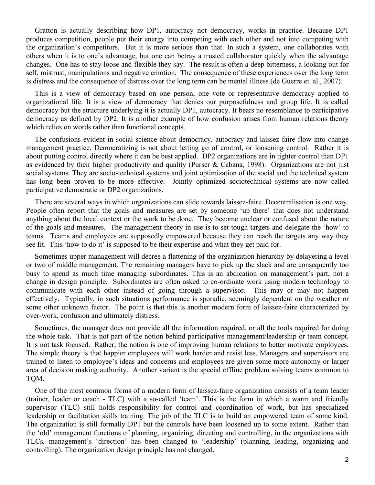Gratton is actually describing how DP1, autocracy not democracy, works in practice. Because DP1 produces competition, people put their energy into competing with each other and not into competing with the organization's competitors. But it is more serious than that. In such a system, one collaborates with others when it is to one's advantage, but one can betray a trusted collaborator quickly when the advantage changes. One has to stay loose and flexible they say. The result is often a deep bitterness, a looking out for self, mistrust, manipulations and negative emotion. The consequence of these experiences over the long term is distress and the consequence of distress over the long term can be mental illness (de Guerre et. al., 2007).

This is a view of democracy based on one person, one vote or representative democracy applied to organizational life. It is a view of democracy that denies our purposefulness and group life. It is called democracy but the structure underlying it is actually DP1, autocracy. It bears no resemblance to participative democracy as defined by DP2. It is another example of how confusion arises from human relations theory which relies on words rather than functional concepts.

The confusions evident in social science about democracy, autocracy and laissez-faire flow into change management practice. Democratizing is not about letting go of control, or loosening control. Rather it is about putting control directly where it can be best applied. DP2 organizations are in tighter control than DP1 as evidenced by their higher productivity and quality (Purser & Cabana, 1998). Organizations are not just social systems. They are socio-technical systems and joint optimization of the social and the technical system has long been proven to be more effective. Jointly optimized sociotechnical systems are now called participative democratic or DP2 organizations.

There are several ways in which organizations can slide towards laissez-faire. Decentralisation is one way. People often report that the goals and measures are set by someone 'up there' that does not understand anything about the local context or the work to be done. They become unclear or confused about the nature of the goals and measures. The management theory in use is to set tough targets and delegate the 'how' to teams. Teams and employees are supposedly empowered because they can reach the targets any way they see fit. This 'how to do it' is supposed to be their expertise and what they get paid for.

Sometimes upper management will decree a flattening of the organization hierarchy by delayering a level or two of middle management. The remaining managers have to pick up the slack and are consequently too busy to spend as much time managing subordinates. This is an abdication on management's part, not a change in design principle. Subordinates are often asked to co-ordinate work using modern technology to communicate with each other instead of going through a supervisor. This may or may not happen effectively. Typically, in such situations performance is sporadic, seemingly dependent on the weather or some other unknown factor. The point is that this is another modern form of laissez-faire characterized by over-work, confusion and ultimately distress.

Sometimes, the manager does not provide all the information required, or all the tools required for doing the whole task. That is not part of the notion behind participative management/leadership or team concept. It is not task focused. Rather, the notion is one of improving human relations to better motivate employees. The simple theory is that happier employees will work harder and resist less. Managers and supervisors are trained to listen to employee's ideas and concerns and employees are given some more autonomy or larger area of decision making authority. Another variant is the special offline problem solving teams common to TQM.

One of the most common forms of a modern form of laissez-faire organization consists of a team leader (trainer, leader or coach - TLC) with a so-called 'team'. This is the form in which a warm and friendly supervisor (TLC) still holds responsibility for control and coordination of work, but has specialized leadership or facilitation skills training. The job of the TLC is to build an empowered team of some kind. The organization is still formally DP1 but the controls have been loosened up to some extent. Rather than the 'old' management functions of planning, organizing, directing and controlling, in the organizations with TLCs, management's 'direction' has been changed to 'leadership' (planning, leading, organizing and controlling). The organization design principle has not changed.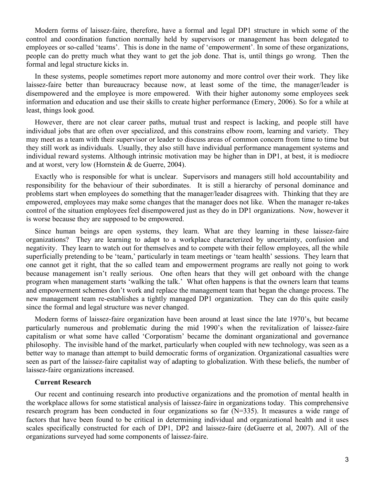Modern forms of laissez-faire, therefore, have a formal and legal DP1 structure in which some of the control and coordination function normally held by supervisors or management has been delegated to employees or so-called 'teams'. This is done in the name of 'empowerment'. In some of these organizations, people can do pretty much what they want to get the job done. That is, until things go wrong. Then the formal and legal structure kicks in.

In these systems, people sometimes report more autonomy and more control over their work. They like laissez-faire better than bureaucracy because now, at least some of the time, the manager/leader is disempowered and the employee is more empowered. With their higher autonomy some employees seek information and education and use their skills to create higher performance (Emery, 2006). So for a while at least, things look good.

However, there are not clear career paths, mutual trust and respect is lacking, and people still have individual jobs that are often over specialized, and this constrains elbow room, learning and variety. They may meet as a team with their supervisor or leader to discuss areas of common concern from time to time but they still work as individuals. Usually, they also still have individual performance management systems and individual reward systems. Although intrinsic motivation may be higher than in DP1, at best, it is mediocre and at worst, very low (Hornstein & de Guerre, 2004).

Exactly who is responsible for what is unclear. Supervisors and managers still hold accountability and responsibility for the behaviour of their subordinates. It is still a hierarchy of personal dominance and problems start when employees do something that the manager/leader disagrees with. Thinking that they are empowered, employees may make some changes that the manager does not like. When the manager re-takes control of the situation employees feel disempowered just as they do in DP1 organizations. Now, however it is worse because they are supposed to be empowered.

Since human beings are open systems, they learn. What are they learning in these laissez-faire organizations? They are learning to adapt to a workplace characterized by uncertainty, confusion and negativity. They learn to watch out for themselves and to compete with their fellow employees, all the while superficially pretending to be 'team,' particularly in team meetings or 'team health' sessions. They learn that one cannot get it right, that the so called team and empowerment programs are really not going to work because management isn't really serious. One often hears that they will get onboard with the change program when management starts 'walking the talk.' What often happens is that the owners learn that teams and empowerment schemes don't work and replace the management team that began the change process. The new management team re-establishes a tightly managed DP1 organization. They can do this quite easily since the formal and legal structure was never changed.

Modern forms of laissez-faire organization have been around at least since the late 1970's, but became particularly numerous and problematic during the mid 1990's when the revitalization of laissez-faire capitalism or what some have called 'Corporatism' became the dominant organizational and governance philosophy. The invisible hand of the market, particularly when coupled with new technology, was seen as a better way to manage than attempt to build democratic forms of organization. Organizational casualties were seen as part of the laissez-faire capitalist way of adapting to globalization. With these beliefs, the number of laissez-faire organizations increased.

#### **Current Research**

Our recent and continuing research into productive organizations and the promotion of mental health in the workplace allows for some statistical analysis of laissez-faire in organizations today. This comprehensive research program has been conducted in four organizations so far (N=335). It measures a wide range of factors that have been found to be critical in determining individual and organizational health and it uses scales specifically constructed for each of DP1, DP2 and laissez-faire (deGuerre et al, 2007). All of the organizations surveyed had some components of laissez-faire.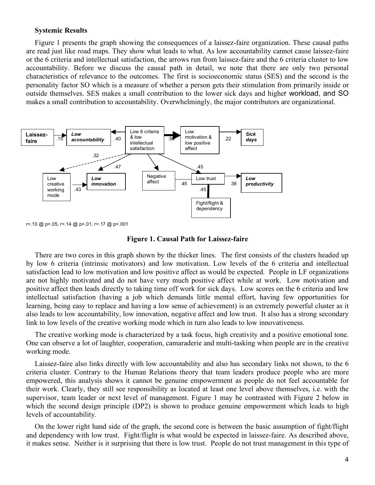#### **Systemic Results**

Figure 1 presents the graph showing the consequences of a laissez-faire organization. These causal paths are read just like road maps. They show what leads to what. As low accountability cannot cause laissez-faire or the 6 criteria and intellectual satisfaction, the arrows run from laissez-faire and the 6 criteria cluster to low accountability. Before we discuss the causal path in detail, we note that there are only two personal characteristics of relevance to the outcomes. The first is socioeconomic status (SES) and the second is the personality factor SO which is a measure of whether a person gets their stimulation from primarily inside or outside themselves. SES makes a small contribution to the lower sick days and higher workload, and SO makes a small contribution to accountability. Overwhelmingly, the major contributors are organizational.



r=.10 @ p<.05, r=.14 @ p<.01, r=.17 @ p<.001

#### **Figure 1. Causal Path for Laissez-faire**

There are two cores in this graph shown by the thicker lines. The first consists of the clusters headed up by low 6 criteria (intrinsic motivators) and low motivation. Low levels of the 6 criteria and intellectual satisfaction lead to low motivation and low positive affect as would be expected. People in LF organizations are not highly motivated and do not have very much positive affect while at work. Low motivation and positive affect then leads directly to taking time off work for sick days. Low scores on the 6 criteria and low intellectual satisfaction (having a job which demands little mental effort, having few opportunities for learning, being easy to replace and having a low sense of achievement) is an extremely powerful cluster as it also leads to low accountability, low innovation, negative affect and low trust. It also has a strong secondary link to low levels of the creative working mode which in turn also leads to low innovativeness.

The creative working mode is characterized by a task focus, high creativity and a positive emotional tone. One can observe a lot of laughter, cooperation, camaraderie and multi-tasking when people are in the creative working mode.

Laissez-faire also links directly with low accountability and also has secondary links not shown, to the 6 criteria cluster. Contrary to the Human Relations theory that team leaders produce people who are more empowered, this analysis shows it cannot be genuine empowerment as people do not feel accountable for their work. Clearly, they still see responsibility as located at least one level above themselves, i.e. with the supervisor, team leader or next level of management. Figure 1 may be contrasted with Figure 2 below in which the second design principle (DP2) is shown to produce genuine empowerment which leads to high levels of accountability.

On the lower right hand side of the graph, the second core is between the basic assumption of fight/flight and dependency with low trust. Fight/flight is what would be expected in laissez-faire. As described above, it makes sense. Neither is it surprising that there is low trust. People do not trust management in this type of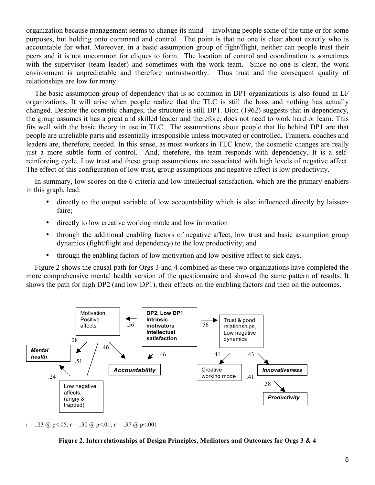organization because management seems to change its mind -- involving people some of the time or for some purposes, but holding onto command and control. The point is that no one is clear about exactly who is accountable for what. Moreover, in a basic assumption group of fight/flight, neither can people trust their peers and it is not uncommon for cliques to form. The location of control and coordination is sometimes with the supervisor (team leader) and sometimes with the work team. Since no one is clear, the work environment is unpredictable and therefore untrustworthy. Thus trust and the consequent quality of relationships are low for many.

The basic assumption group of dependency that is so common in DP1 organizations is also found in LF organizations. It will arise when people realize that the TLC is still the boss and nothing has actually changed. Despite the cosmetic changes, the structure is still DP1. Bion (1962) suggests that in dependency, the group assumes it has a great and skilled leader and therefore, does not need to work hard or learn. This fits well with the basic theory in use in TLC. The assumptions about people that lie behind DP1 are that people are unreliable parts and essentially irresponsible unless motivated or controlled. Trainers, coaches and leaders are, therefore, needed. In this sense, as most workers in TLC know, the cosmetic changes are really just a more subtle form of control. And, therefore, the team responds with dependency. It is a selfreinforcing cycle. Low trust and these group assumptions are associated with high levels of negative affect. The effect of this configuration of low trust, group assumptions and negative affect is low productivity.

In summary, low scores on the 6 criteria and low intellectual satisfaction, which are the primary enablers in this graph, lead:

- directly to the output variable of low accountability which is also influenced directly by laissezfaire;
- directly to low creative working mode and low innovation
- through the additional enabling factors of negative affect, low trust and basic assumption group dynamics (fight/flight and dependency) to the low productivity; and
- through the enabling factors of low motivation and low positive affect to sick days.

Figure 2 shows the causal path for Orgs 3 and 4 combined as these two organizations have completed the more comprehensive mental health version of the questionnaire and showed the same pattern of results. It shows the path for high DP2 (and low DP1), their effects on the enabling factors and then on the outcomes.



 $r = 0.23$  @ p < 0.05;  $r = 0.30$  @ p < 0.01;  $r = 0.37$  @ p < 0.001

#### **Figure 2. Interrelationships of Design Principles, Mediators and Outcomes for Orgs 3 & 4**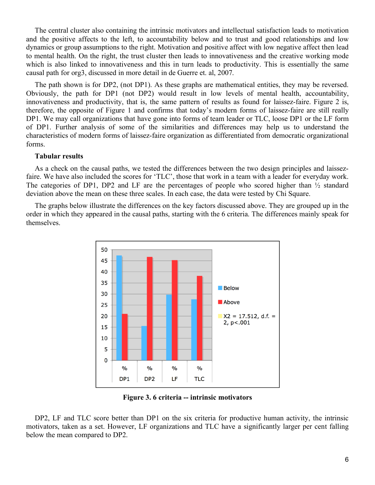The central cluster also containing the intrinsic motivators and intellectual satisfaction leads to motivation and the positive affects to the left, to accountability below and to trust and good relationships and low dynamics or group assumptions to the right. Motivation and positive affect with low negative affect then lead to mental health. On the right, the trust cluster then leads to innovativeness and the creative working mode which is also linked to innovativeness and this in turn leads to productivity. This is essentially the same causal path for org3, discussed in more detail in de Guerre et. al, 2007.

The path shown is for DP2, (not DP1). As these graphs are mathematical entities, they may be reversed. Obviously, the path for DP1 (not DP2) would result in low levels of mental health, accountability, innovativeness and productivity, that is, the same pattern of results as found for laissez-faire. Figure 2 is, therefore, the opposite of Figure 1 and confirms that today's modern forms of laissez-faire are still really DP1. We may call organizations that have gone into forms of team leader or TLC, loose DP1 or the LF form of DP1. Further analysis of some of the similarities and differences may help us to understand the characteristics of modern forms of laissez-faire organization as differentiated from democratic organizational forms.

## **Tabular results**

As a check on the causal paths, we tested the differences between the two design principles and laissezfaire. We have also included the scores for 'TLC', those that work in a team with a leader for everyday work. The categories of DP1, DP2 and LF are the percentages of people who scored higher than ½ standard deviation above the mean on these three scales. In each case, the data were tested by Chi Square.

The graphs below illustrate the differences on the key factors discussed above. They are grouped up in the order in which they appeared in the causal paths, starting with the 6 criteria. The differences mainly speak for themselves.



**Figure 3. 6 criteria -- intrinsic motivators**

DP2, LF and TLC score better than DP1 on the six criteria for productive human activity, the intrinsic motivators, taken as a set. However, LF organizations and TLC have a significantly larger per cent falling below the mean compared to DP2.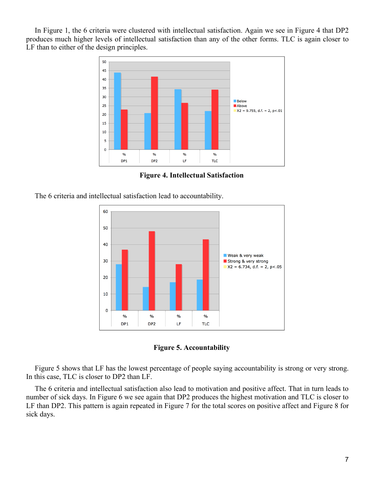In Figure 1, the 6 criteria were clustered with intellectual satisfaction. Again we see in Figure 4 that DP2 produces much higher levels of intellectual satisfaction than any of the other forms. TLC is again closer to LF than to either of the design principles.



**Figure 4. Intellectual Satisfaction**

The 6 criteria and intellectual satisfaction lead to accountability.



**Figure 5. Accountability**

Figure 5 shows that LF has the lowest percentage of people saying accountability is strong or very strong. In this case, TLC is closer to DP2 than LF.

The 6 criteria and intellectual satisfaction also lead to motivation and positive affect. That in turn leads to number of sick days. In Figure 6 we see again that DP2 produces the highest motivation and TLC is closer to LF than DP2. This pattern is again repeated in Figure 7 for the total scores on positive affect and Figure 8 for sick days.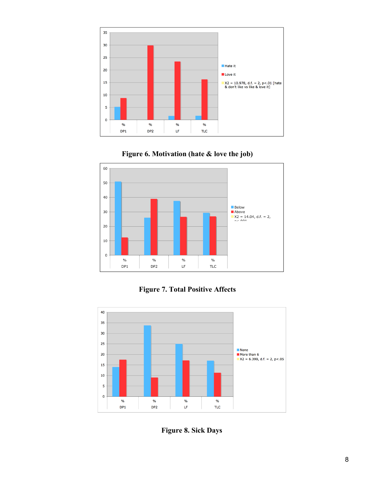





**Figure 7. Total Positive Affects**



**Figure 8. Sick Days**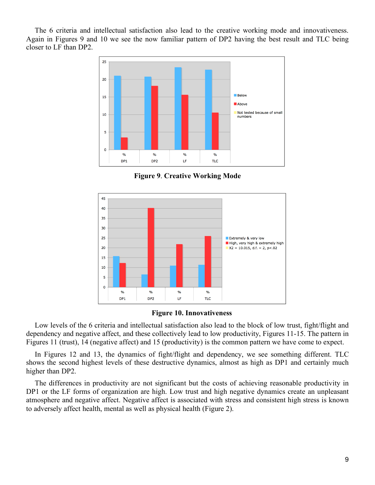The 6 criteria and intellectual satisfaction also lead to the creative working mode and innovativeness. Again in Figures 9 and 10 we see the now familiar pattern of DP2 having the best result and TLC being closer to LF than DP2.



**Figure 9**. **Creative Working Mode**



## **Figure 10. Innovativeness**

Low levels of the 6 criteria and intellectual satisfaction also lead to the block of low trust, fight/flight and dependency and negative affect, and these collectively lead to low productivity, Figures 11-15. The pattern in Figures 11 (trust), 14 (negative affect) and 15 (productivity) is the common pattern we have come to expect.

In Figures 12 and 13, the dynamics of fight/flight and dependency, we see something different. TLC shows the second highest levels of these destructive dynamics, almost as high as DP1 and certainly much higher than DP2.

The differences in productivity are not significant but the costs of achieving reasonable productivity in DP1 or the LF forms of organization are high. Low trust and high negative dynamics create an unpleasant atmosphere and negative affect. Negative affect is associated with stress and consistent high stress is known to adversely affect health, mental as well as physical health (Figure 2).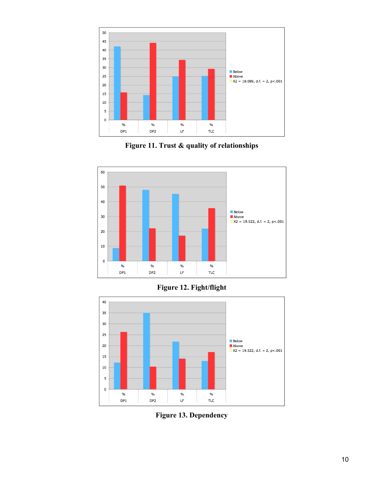

**Figure 11. Trust & quality of relationships**



# **Figure 12. Fight/flight**



**Figure 13. Dependency**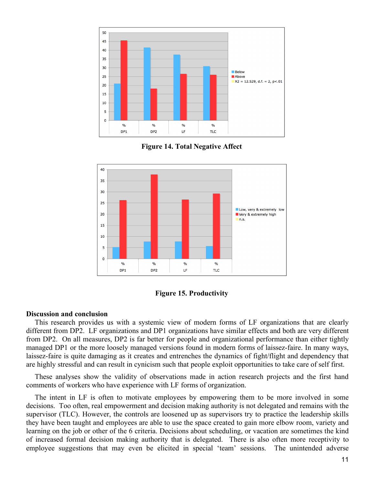

**Figure 14. Total Negative Affect**





#### **Discussion and conclusion**

This research provides us with a systemic view of modern forms of LF organizations that are clearly different from DP2. LF organizations and DP1 organizations have similar effects and both are very different from DP2. On all measures, DP2 is far better for people and organizational performance than either tightly managed DP1 or the more loosely managed versions found in modern forms of laissez-faire. In many ways, laissez-faire is quite damaging as it creates and entrenches the dynamics of fight/flight and dependency that are highly stressful and can result in cynicism such that people exploit opportunities to take care of self first.

These analyses show the validity of observations made in action research projects and the first hand comments of workers who have experience with LF forms of organization.

The intent in LF is often to motivate employees by empowering them to be more involved in some decisions. Too often, real empowerment and decision making authority is not delegated and remains with the supervisor (TLC). However, the controls are loosened up as supervisors try to practice the leadership skills they have been taught and employees are able to use the space created to gain more elbow room, variety and learning on the job or other of the 6 criteria. Decisions about scheduling, or vacation are sometimes the kind of increased formal decision making authority that is delegated. There is also often more receptivity to employee suggestions that may even be elicited in special 'team' sessions. The unintended adverse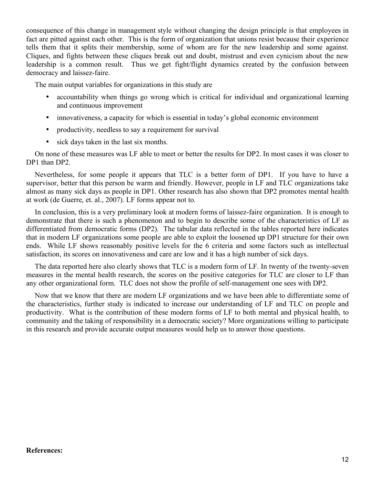consequence of this change in management style without changing the design principle is that employees in fact are pitted against each other. This is the form of organization that unions resist because their experience tells them that it splits their membership, some of whom are for the new leadership and some against. Cliques, and fights between these cliques break out and doubt, mistrust and even cynicism about the new leadership is a common result. Thus we get fight/flight dynamics created by the confusion between democracy and laissez-faire.

The main output variables for organizations in this study are

- accountability when things go wrong which is critical for individual and organizational learning and continuous improvement
- innovativeness, a capacity for which is essential in today's global economic environment
- productivity, needless to say a requirement for survival
- sick days taken in the last six months.

On none of these measures was LF able to meet or better the results for DP2. In most cases it was closer to DP1 than DP2.

Nevertheless, for some people it appears that TLC is a better form of DP1. If you have to have a supervisor, better that this person be warm and friendly. However, people in LF and TLC organizations take almost as many sick days as people in DP1. Other research has also shown that DP2 promotes mental health at work (de Guerre, et. al., 2007). LF forms appear not to.

In conclusion, this is a very preliminary look at modern forms of laissez-faire organization. It is enough to demonstrate that there is such a phenomenon and to begin to describe some of the characteristics of LF as differentiated from democratic forms (DP2). The tabular data reflected in the tables reported here indicates that in modern LF organizations some people are able to exploit the loosened up DP1 structure for their own ends. While LF shows reasonably positive levels for the 6 criteria and some factors such as intellectual satisfaction, its scores on innovativeness and care are low and it has a high number of sick days.

The data reported here also clearly shows that TLC is a modern form of LF. In twenty of the twenty-seven measures in the mental health research, the scores on the positive categories for TLC are closer to LF than any other organizational form. TLC does not show the profile of self-management one sees with DP2.

Now that we know that there are modern LF organizations and we have been able to differentiate some of the characteristics, further study is indicated to increase our understanding of LF and TLC on people and productivity. What is the contribution of these modern forms of LF to both mental and physical health, to community and the taking of responsibility in a democratic society? More organizations willing to participate in this research and provide accurate output measures would help us to answer those questions.